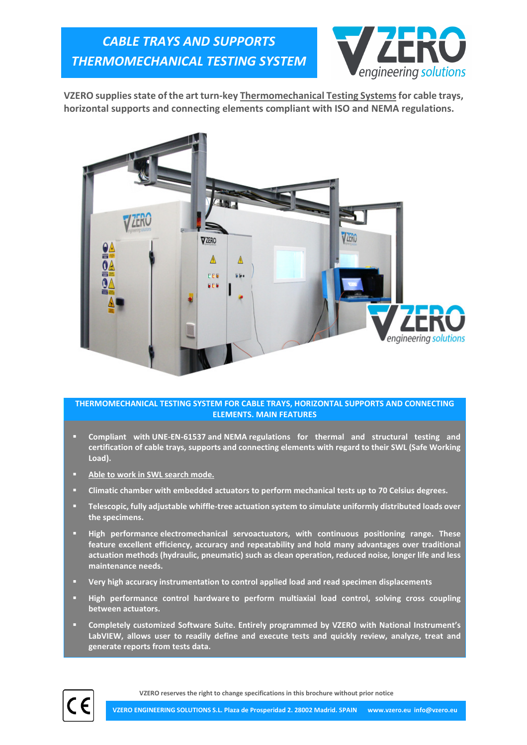

VZERO supplies state of the art turn-key Thermomechanical Testing Systems for cable trays, horizontal supports and connecting elements compliant with ISO and NEMA regulations.



## THERMOMECHANICAL TESTING SYSTEM FOR CABLE TRAYS, HORIZONTAL SUPPORTS AND CONNECTING ELEMENTS. MAIN FEATURES

- Compliant with UNE-EN-61537 and NEMA regulations for thermal and structural testing and certification of cable trays, supports and connecting elements with regard to their SWL (Safe Working Load).
- Able to work in SWL search mode.
- Climatic chamber with embedded actuators to perform mechanical tests up to 70 Celsius degrees.
- Telescopic, fully adjustable whiffle-tree actuation system to simulate uniformly distributed loads over the specimens.
- High performance electromechanical servoactuators, with continuous positioning range. These feature excellent efficiency, accuracy and repeatability and hold many advantages over traditional actuation methods (hydraulic, pneumatic) such as clean operation, reduced noise, longer life and less maintenance needs.
- Very high accuracy instrumentation to control applied load and read specimen displacements
- High performance control hardware to perform multiaxial load control, solving cross coupling between actuators.
- Completely customized Software Suite. Entirely programmed by VZERO with National Instrument's LabVIEW, allows user to readily define and execute tests and quickly review, analyze, treat and generate reports from tests data.



VZERO reserves the right to change specifications in this brochure without prior notice